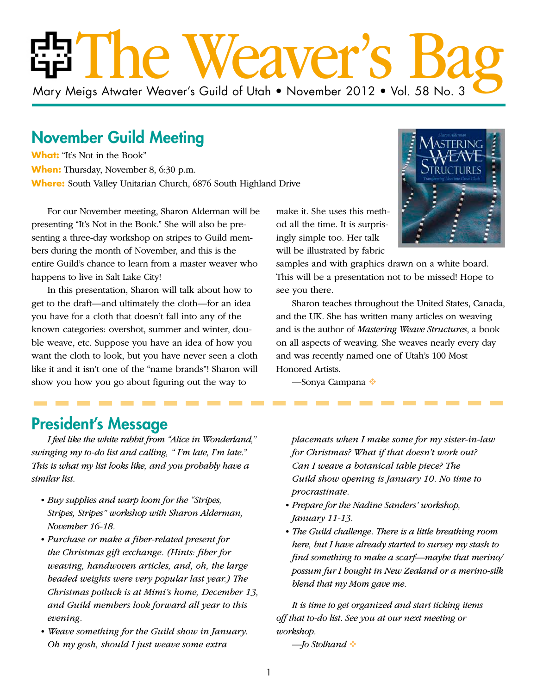# The Weaver's Bag Mary Meigs Atwater Weaver's Guild of Utah • November 2012 • Vol. 58 No. 3

## November Guild Meeting

**What:** "It's Not in the Book" **When:** Thursday, November 8, 6:30 p.m. **Where:** South Valley Unitarian Church, 6876 South Highland Drive

For our November meeting, Sharon Alderman will be presenting "It's Not in the Book." She will also be presenting a three-day workshop on stripes to Guild members during the month of November, and this is the entire Guild's chance to learn from a master weaver who happens to live in Salt Lake City!

In this presentation, Sharon will talk about how to get to the draft—and ultimately the cloth—for an idea you have for a cloth that doesn't fall into any of the known categories: overshot, summer and winter, double weave, etc. Suppose you have an idea of how you want the cloth to look, but you have never seen a cloth like it and it isn't one of the "name brands"! Sharon will show you how you go about figuring out the way to

make it. She uses this method all the time. It is surprisingly simple too. Her talk will be illustrated by fabric

samples and with graphics drawn on a white board. This will be a presentation not to be missed! Hope to see you there.

Sharon teaches throughout the United States, Canada, and the UK. She has written many articles on weaving and is the author of *Mastering Weave Structures*, a book on all aspects of weaving. She weaves nearly every day and was recently named one of Utah's 100 Most Honored Artists.

—Sonya Campana

### President's Message

*I feel like the white rabbit from "Alice in Wonderland," swinging my to-do list and calling, " I'm late, I'm late." This is what my list looks like, and you probably have a similar list.*

- *• Buy supplies and warp loom for the "Stripes, Stripes, Stripes" workshop with Sharon Alderman, November 16-18.*
- *• Purchase or make a fiber-related present for the Christmas gift exchange. (Hints: fiber for weaving, handwoven articles, and, oh, the large beaded weights were very popular last year.) The Christmas potluck is at Mimi's home, December 13, and Guild members look forward all year to this evening.*
- *• Weave something for the Guild show in January. Oh my gosh, should I just weave some extra*

*placemats when I make some for my sister-in-law for Christmas? What if that doesn't work out? Can I weave a botanical table piece? The Guild show opening is January 10. No time to procrastinate.*

- *• Prepare for the Nadine Sanders' workshop, January 11-13.*
- *• The Guild challenge. There is a little breathing room here, but I have already started to survey my stash to find something to make a scarf—maybe that merino/ possum fur I bought in New Zealand or a merino-silk blend that my Mom gave me.*

*It is time to get organized and start ticking items off that to-do list. See you at our next meeting or workshop.*

*—Jo Stolhand*

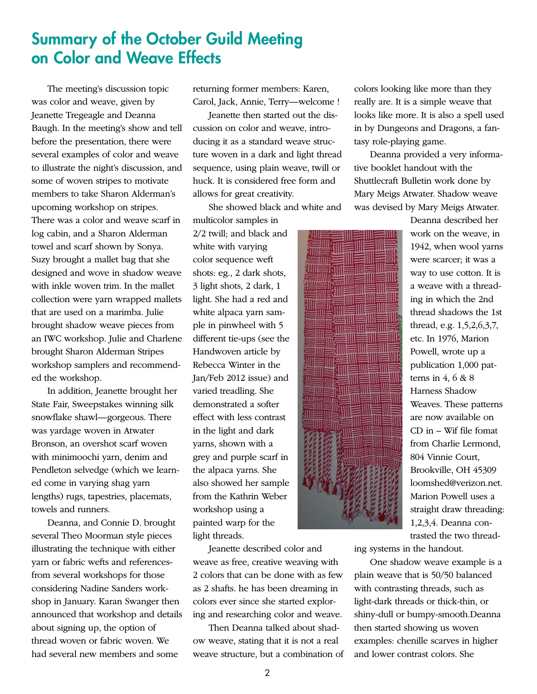### Summary of the October Guild Meeting on Color and Weave Effects

The meeting's discussion topic was color and weave, given by Jeanette Tregeagle and Deanna Baugh. In the meeting's show and tell before the presentation, there were several examples of color and weave to illustrate the night's discussion, and some of woven stripes to motivate members to take Sharon Alderman's upcoming workshop on stripes. There was a color and weave scarf in log cabin, and a Sharon Alderman towel and scarf shown by Sonya. Suzy brought a mallet bag that she designed and wove in shadow weave with inkle woven trim. In the mallet collection were yarn wrapped mallets that are used on a marimba. Julie brought shadow weave pieces from an IWC workshop. Julie and Charlene brought Sharon Alderman Stripes workshop samplers and recommended the workshop.

In addition, Jeanette brought her State Fair, Sweepstakes winning silk snowflake shawl—gorgeous. There was yardage woven in Atwater Bronson, an overshot scarf woven with minimoochi yarn, denim and Pendleton selvedge (which we learned come in varying shag yarn lengths) rugs, tapestries, placemats, towels and runners.

Deanna, and Connie D. brought several Theo Moorman style pieces illustrating the technique with either yarn or fabric wefts and referencesfrom several workshops for those considering Nadine Sanders workshop in January. Karan Swanger then announced that workshop and details about signing up, the option of thread woven or fabric woven. We had several new members and some

returning former members: Karen, Carol, Jack, Annie, Terry—welcome !

Jeanette then started out the discussion on color and weave, introducing it as a standard weave structure woven in a dark and light thread sequence, using plain weave, twill or huck. It is considered free form and allows for great creativity.

She showed black and white and

multicolor samples in 2/2 twill; and black and white with varying color sequence weft shots: eg., 2 dark shots, 3 light shots, 2 dark, 1 light. She had a red and white alpaca yarn sample in pinwheel with 5 different tie-ups (see the Handwoven article by Rebecca Winter in the Jan/Feb 2012 issue) and varied treadling. She demonstrated a softer effect with less contrast in the light and dark yarns, shown with a grey and purple scarf in the alpaca yarns. She also showed her sample from the Kathrin Weber workshop using a painted warp for the light threads.

Jeanette described color and weave as free, creative weaving with 2 colors that can be done with as few as 2 shafts. he has been dreaming in colors ever since she started exploring and researching color and weave.

Then Deanna talked about shadow weave, stating that it is not a real weave structure, but a combination of colors looking like more than they really are. It is a simple weave that looks like more. It is also a spell used in by Dungeons and Dragons, a fantasy role-playing game.

Deanna provided a very informative booklet handout with the Shuttlecraft Bulletin work done by Mary Meigs Atwater. Shadow weave was devised by Mary Meigs Atwater.

Deanna described her work on the weave, in 1942, when wool yarns were scarcer; it was a way to use cotton. It is a weave with a threading in which the 2nd thread shadows the 1st thread, e.g. 1,5,2,6,3,7, etc. In 1976, Marion Powell, wrote up a publication 1,000 patterns in  $4, 6 \& 8$ Harness Shadow Weaves. These patterns are now available on CD in – Wif file fomat from Charlie Lermond, 804 Vinnie Court, Brookville, OH 45309 loomshed@verizon.net. Marion Powell uses a straight draw threading: 1,2,3,4. Deanna contrasted the two thread-

ing systems in the handout.

One shadow weave example is a plain weave that is 50/50 balanced with contrasting threads, such as light-dark threads or thick-thin, or shiny-dull or bumpy-smooth.Deanna then started showing us woven examples: chenille scarves in higher and lower contrast colors. She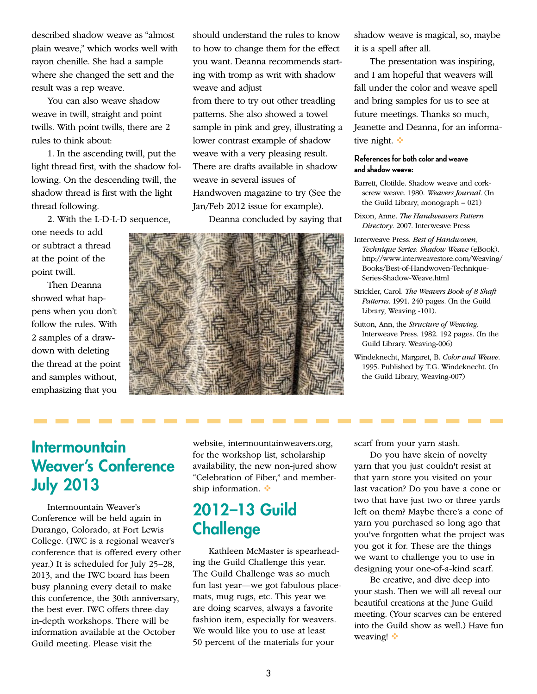described shadow weave as "almost plain weave," which works well with rayon chenille. She had a sample where she changed the sett and the result was a rep weave.

You can also weave shadow weave in twill, straight and point twills. With point twills, there are 2 rules to think about:

1. In the ascending twill, put the light thread first, with the shadow following. On the descending twill, the shadow thread is first with the light thread following.

2. With the L-D-L-D sequence,

one needs to add or subtract a thread at the point of the point twill.

Then Deanna showed what happens when you don't follow the rules. With 2 samples of a drawdown with deleting the thread at the point and samples without, emphasizing that you

should understand the rules to know to how to change them for the effect you want. Deanna recommends starting with tromp as writ with shadow weave and adjust

from there to try out other treadling patterns. She also showed a towel sample in pink and grey, illustrating a lower contrast example of shadow weave with a very pleasing result. There are drafts available in shadow weave in several issues of Handwoven magazine to try (See the Jan/Feb 2012 issue for example).

Deanna concluded by saying that



shadow weave is magical, so, maybe it is a spell after all.

The presentation was inspiring, and I am hopeful that weavers will fall under the color and weave spell and bring samples for us to see at future meetings. Thanks so much, Jeanette and Deanna, for an informative night.  $\div$ 

#### **References for both color and weave and shadow weave:**

- Barrett, Clotilde. Shadow weave and corkscrew weave. 1980. *Weavers Journal*. (In the Guild Library, monograph – 021)
- Dixon, Anne. *The Handweavers Pattern Directory*. 2007. Interweave Press
- Interweave Press. *Best of Handwoven, Technique Series: Shadow Weave* (eBook). http://www.interweavestore.com/Weaving/ Books/Best-of-Handwoven-Technique-Series-Shadow-Weave.html
- Strickler, Carol. *The Weavers Book of 8 Shaft Patterns*. 1991. 240 pages. (In the Guild Library, Weaving -101).
- Sutton, Ann, the *Structure of Weaving*. Interweave Press. 1982. 192 pages. (In the Guild Library. Weaving-006)
- Windeknecht, Margaret, B. *Color and Weave*. 1995. Published by T.G. Windeknecht. (In the Guild Library, Weaving-007)

### **Intermountain** Weaver's Conference July 2013

. . . . .

Intermountain Weaver's Conference will be held again in Durango, Colorado, at Fort Lewis College. (IWC is a regional weaver's conference that is offered every other year.) It is scheduled for July 25–28, 2013, and the IWC board has been busy planning every detail to make this conference, the 30th anniversary, the best ever. IWC offers three-day in-depth workshops. There will be information available at the October Guild meeting. Please visit the

website, intermountainweavers.org, for the workshop list, scholarship availability, the new non-jured show "Celebration of Fiber," and membership information.  $\ddot{\bullet}$ 

### 2012–13 Guild **Challenge**

Kathleen McMaster is spearheading the Guild Challenge this year. The Guild Challenge was so much fun last year—we got fabulous placemats, mug rugs, etc. This year we are doing scarves, always a favorite fashion item, especially for weavers. We would like you to use at least 50 percent of the materials for your

scarf from your yarn stash.

Do you have skein of novelty yarn that you just couldn't resist at that yarn store you visited on your last vacation? Do you have a cone or two that have just two or three yards left on them? Maybe there's a cone of yarn you purchased so long ago that you've forgotten what the project was you got it for. These are the things we want to challenge you to use in designing your one-of-a-kind scarf.

Be creative, and dive deep into your stash. Then we will all reveal our beautiful creations at the June Guild meeting. (Your scarves can be entered into the Guild show as well.) Have fun weaving!  $\cdot$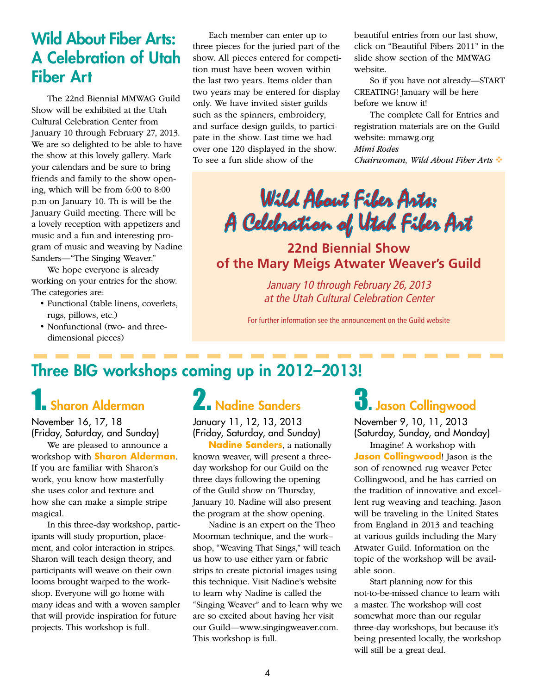### Wild About Fiber Arts: A Celebration of Utah Fiber Art

The 22nd Biennial MMWAG Guild Show will be exhibited at the Utah Cultural Celebration Center from January 10 through February 27, 2013. We are so delighted to be able to have the show at this lovely gallery. Mark your calendars and be sure to bring friends and family to the show opening, which will be from 6:00 to 8:00 p.m on January 10. Th is will be the January Guild meeting. There will be a lovely reception with appetizers and music and a fun and interesting program of music and weaving by Nadine Sanders—"The Singing Weaver."

We hope everyone is already working on your entries for the show. The categories are:

- • Functional (table linens, coverlets, rugs, pillows, etc.)
- • Nonfunctional (two- and threedimensional pieces)

Each member can enter up to three pieces for the juried part of the show. All pieces entered for competition must have been woven within the last two years. Items older than two years may be entered for display only. We have invited sister guilds such as the spinners, embroidery, and surface design guilds, to participate in the show. Last time we had over one 120 displayed in the show. To see a fun slide show of the

beautiful entries from our last show, click on "Beautiful Fibers 2011" in the slide show section of the MMWAG website.

So if you have not already—START CREATING! January will be here before we know it!

The complete Call for Entries and registration materials are on the Guild website: mmawg.org *Mimi Rodes Chairwoman, Wild About Fiber Arts* 

## Wild About Fiber Arts: A Celebration of Utah Fiber Art

**22nd Biennial Show of the Mary Meigs Atwater Weaver's Guild**

> *January 10 through February 26, 2013 at the Utah Cultural Celebration Center*

For further information see the announcement on the Guild website

## Three BIG workshops coming up in 2012–2013!

## 1. Sharon Alderman

November 16, 17, 18 (Friday, Saturday, and Sunday)

We are pleased to announce a workshop with **Sharon Alderman**. If you are familiar with Sharon's work, you know how masterfully she uses color and texture and how she can make a simple stripe magical.

In this three-day workshop, participants will study proportion, placement, and color interaction in stripes. Sharon will teach design theory, and participants will weave on their own looms brought warped to the workshop. Everyone will go home with many ideas and with a woven sampler that will provide inspiration for future projects. This workshop is full.

## 2. Nadine Sanders

January 11, 12, 13, 2013 (Friday, Saturday, and Sunday)

**Nadine Sanders**, a nationally known weaver, will present a threeday workshop for our Guild on the three days following the opening of the Guild show on Thursday, January 10. Nadine will also present the program at the show opening.

Nadine is an expert on the Theo Moorman technique, and the work– shop, "Weaving That Sings," will teach us how to use either yarn or fabric strips to create pictorial images using this technique. Visit Nadine's website to learn why Nadine is called the "Singing Weaver" and to learn why we are so excited about having her visit our Guild—www.singingweaver.com. This workshop is full.

## $\mathbf 3$ . Jason Collingwood

November 9, 10, 11, 2013 (Saturday, Sunday, and Monday)

Imagine! A workshop with **Jason Collingwood**! Jason is the son of renowned rug weaver Peter Collingwood, and he has carried on the tradition of innovative and excellent rug weaving and teaching. Jason will be traveling in the United States from England in 2013 and teaching at various guilds including the Mary Atwater Guild. Information on the topic of the workshop will be available soon.

Start planning now for this not-to-be-missed chance to learn with a master. The workshop will cost somewhat more than our regular three-day workshops, but because it's being presented locally, the workshop will still be a great deal.